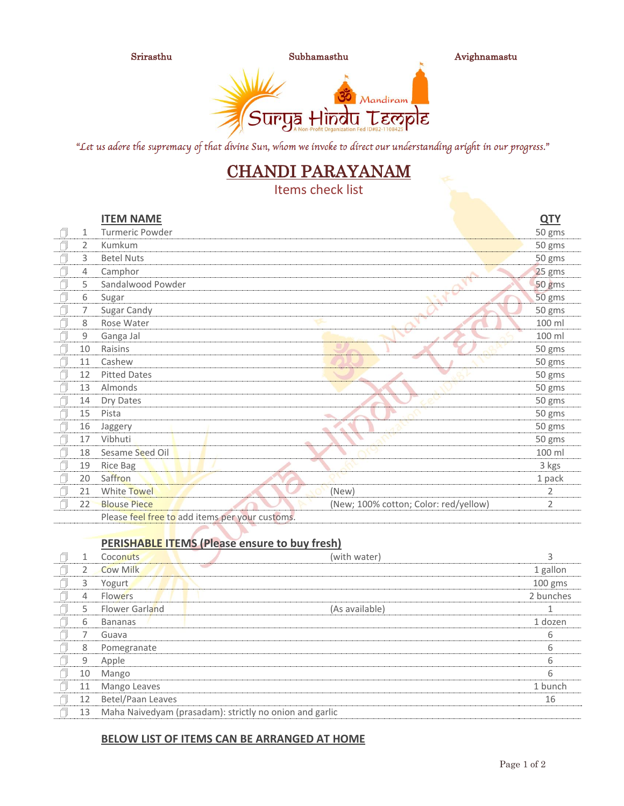

Srirasthu Subhamasthu Avighnamastu



"Let us adore the supremacy of that divine Sun, whom we invoke to direct our understanding aright in our progress."

## CHANDI PARAYANAM

Items check list

|        |    | <b>ITEM NAME</b>                                |                                       | <b>QTY</b>     |
|--------|----|-------------------------------------------------|---------------------------------------|----------------|
| ٦      | 1  | Turmeric Powder                                 |                                       | 50 gms         |
| f      | 2  | Kumkum                                          |                                       | 50 gms         |
| Ō      | 3  | <b>Betel Nuts</b>                               |                                       | 50 gms         |
| Ñ      | 4  | Camphor                                         |                                       | 25 gms         |
| Ñ      | 5  | Sandalwood Powder                               |                                       | 50 gms         |
| f      | 6  | Sugar                                           |                                       | 50 gms         |
| ſ      | 7  | Sugar Candy                                     |                                       | 50 gms         |
| f      | 8  | Rose Water                                      |                                       | 100 ml         |
| $\Box$ | 9  | Ganga Jal                                       |                                       | 100 ml         |
| ń      | 10 | Raisins                                         |                                       | 50 gms         |
| Ō      | 11 | Cashew                                          |                                       | 50 gms         |
| Ō      | 12 | <b>Pitted Dates</b>                             |                                       | 50 gms         |
| Ō      | 13 | Almonds                                         |                                       | 50 gms         |
| Ō      | 14 | Dry Dates                                       |                                       | 50 gms         |
|        | 15 | Pista                                           | v.                                    | 50 gms         |
| Ō      | 16 | Jaggery                                         | $\Rightarrow$                         | 50 gms         |
| f      | 17 | Vibhuti                                         |                                       | 50 gms         |
| $\Box$ | 18 | Sesame Seed Oil                                 |                                       | 100 ml         |
| Ō      | 19 | <b>Rice Bag</b>                                 |                                       | 3 kgs          |
| Ō      | 20 | Saffron                                         |                                       | 1 pack         |
|        | 21 | White Towel                                     | (New)                                 | 2              |
| f      | 22 | <b>Blouse Piece</b>                             | (New; 100% cotton; Color: red/yellow) | $\overline{2}$ |
|        |    | Please feel free to add items per your customs. |                                       |                |

## **PERISHABLE ITEMS (Please ensure to buy fresh)**

|              | Coconuts              | (with water)                                            |           |
|--------------|-----------------------|---------------------------------------------------------|-----------|
| <sup>2</sup> | <b>Cow Milk</b>       |                                                         | 1 gallon  |
| 3            | Yogurt                |                                                         | $100$ gms |
| 4            | <b>Flowers</b>        |                                                         | 2 bunches |
| 5            | <b>Flower Garland</b> | (As available)                                          |           |
| 6            | <b>Bananas</b>        |                                                         | 1 dozen   |
|              | Guava                 |                                                         | 6         |
| 8            | Pomegranate           |                                                         | 6         |
| 9            | Apple                 |                                                         | 6         |
| 10           | Mango                 |                                                         | 6         |
| 11           | Mango Leaves          |                                                         | 1 bunch   |
| 12           | Betel/Paan Leaves     |                                                         | 16        |
| 13           |                       | Maha Naivedyam (prasadam): strictly no onion and garlic |           |

## **BELOW LIST OF ITEMS CAN BE ARRANGED AT HOME**